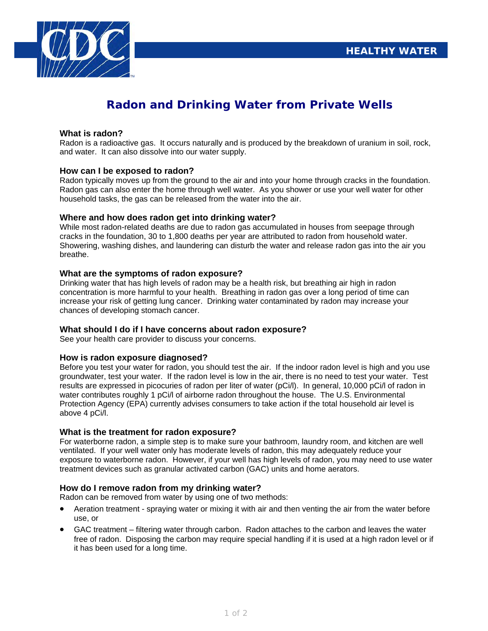

# **Radon and Drinking Water from Private Wells**

#### **What is radon?**

Radon is a radioactive gas. It occurs naturally and is produced by the breakdown of uranium in soil, rock, and water. It can also dissolve into our water supply.

## **How can I be exposed to radon?**

Radon typically moves up from the ground to the air and into your home through cracks in the foundation. Radon gas can also enter the home through well water. As you shower or use your well water for other household tasks, the gas can be released from the water into the air.

## **Where and how does radon get into drinking water?**

While most radon-related deaths are due to radon gas accumulated in houses from seepage through cracks in the foundation, 30 to 1,800 deaths per year are attributed to radon from household water. Showering, washing dishes, and laundering can disturb the water and release radon gas into the air you breathe.

## **What are the symptoms of radon exposure?**

Drinking water that has high levels of radon may be a health risk, but breathing air high in radon concentration is more harmful to your health. Breathing in radon gas over a long period of time can increase your risk of getting lung cancer. Drinking water contaminated by radon may increase your chances of developing stomach cancer.

#### **What should I do if I have concerns about radon exposure?**

See your health care provider to discuss your concerns.

# **How is radon exposure diagnosed?**

Before you test your water for radon, you should test the air. If the indoor radon level is high and you use groundwater, test your water. If the radon level is low in the air, there is no need to test your water. Test results are expressed in picocuries of radon per liter of water (pCi/l). In general, 10,000 pCi/l of radon in water contributes roughly 1 pCi/l of airborne radon throughout the house. The U.S. Environmental Protection Agency (EPA) currently advises consumers to take action if the total household air level is above 4 pCi/l.

#### **What is the treatment for radon exposure?**

For waterborne radon, a simple step is to make sure your bathroom, laundry room, and kitchen are well ventilated. If your well water only has moderate levels of radon, this may adequately reduce your exposure to waterborne radon. However, if your well has high levels of radon, you may need to use water treatment devices such as granular activated carbon (GAC) units and home aerators.

# **How do I remove radon from my drinking water?**

Radon can be removed from water by using one of two methods:

- Aeration treatment spraying water or mixing it with air and then venting the air from the water before use, or
- GAC treatment filtering water through carbon. Radon attaches to the carbon and leaves the water free of radon. Disposing the carbon may require special handling if it is used at a high radon level or if it has been used for a long time.